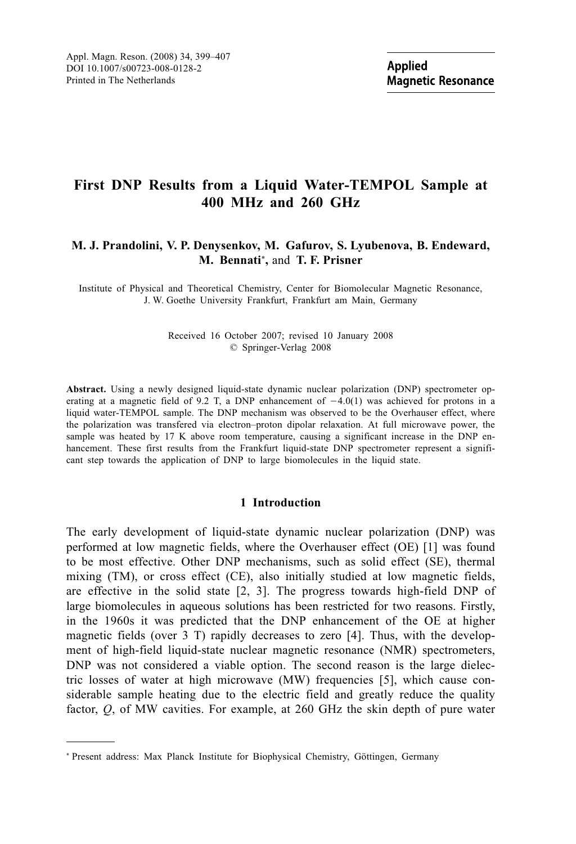# First DNP Results from a Liquid Water-TEMPOL Sample at 400 MHz and 260 GHz

# M. J. Prandolini, V. P. Denysenkov, M. Gafurov, S. Lyubenova, B. Endeward, M. Bennati<sup>\*</sup>, and T. F. Prisner

Institute of Physical and Theoretical Chemistry, Center for Biomolecular Magnetic Resonance. J. W. Goethe University Frankfurt, Frankfurt am Main, Germany

### Received 16 October 2007; revised 10 January 2008 © Springer-Verlag 2008

Abstract. Using a newly designed liquid-state dynamic nuclear polarization (DNP) spectrometer operating at a magnetic field of 9.2 T, a DNP enhancement of  $-4.0(1)$  was achieved for protons in a liquid water-TEMPOL sample. The DNP mechanism was observed to be the Overhauser effect, where the polarization was transfered via electron-proton dipolar relaxation. At full microwave power, the sample was heated by 17 K above room temperature, causing a significant increase in the DNP enhancement. These first results from the Frankfurt liquid-state DNP spectrometer represent a significant step towards the application of DNP to large biomolecules in the liquid state.

# 1 Introduction

The early development of liquid-state dynamic nuclear polarization (DNP) was performed at low magnetic fields, where the Overhauser effect (OE) [1] was found to be most effective. Other DNP mechanisms, such as solid effect (SE), thermal mixing (TM), or cross effect (CE), also initially studied at low magnetic fields, are effective in the solid state  $[2, 3]$ . The progress towards high-field DNP of large biomolecules in aqueous solutions has been restricted for two reasons. Firstly, in the 1960s it was predicted that the DNP enhancement of the OE at higher magnetic fields (over 3 T) rapidly decreases to zero [4]. Thus, with the development of high-field liquid-state nuclear magnetic resonance (NMR) spectrometers, DNP was not considered a viable option. The second reason is the large dielectric losses of water at high microwave (MW) frequencies [5], which cause considerable sample heating due to the electric field and greatly reduce the quality factor,  $Q$ , of MW cavities. For example, at 260 GHz the skin depth of pure water

<sup>\*</sup> Present address: Max Planck Institute for Biophysical Chemistry, Göttingen, Germany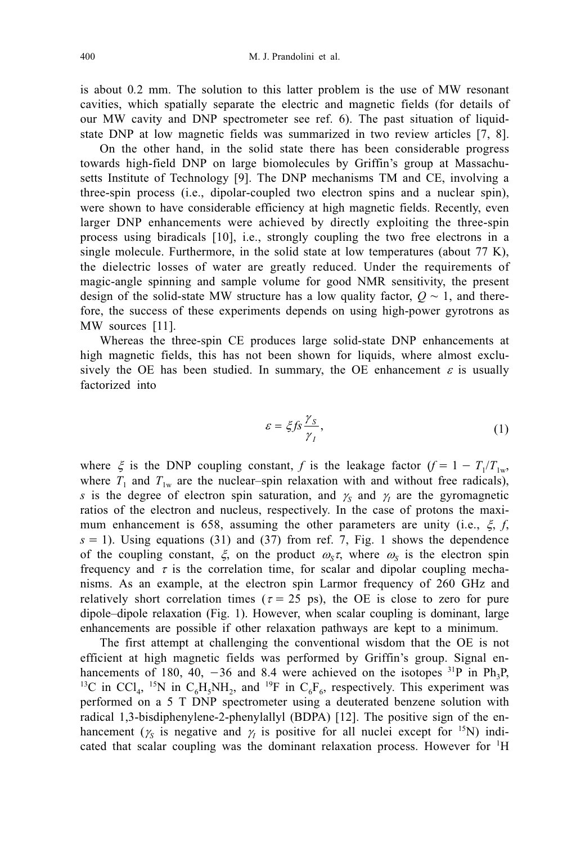is about 0.2 mm. The solution to this latter problem is the use of MW resonant cavities, which spatially separate the electric and magnetic fields (for details of our MW cavity and DNP spectrometer see ref. 6). The past situation of liquidstate DNP at low magnetic fields was summarized in two review articles [7, 8].

On the other hand, in the solid state there has been considerable progress towards high-field DNP on large biomolecules by Griffin's group at Massachusetts Institute of Technology [9]. The DNP mechanisms TM and CE, involving a three-spin process (i.e., dipolar-coupled two electron spins and a nuclear spin), were shown to have considerable efficiency at high magnetic fields. Recently, even larger DNP enhancements were achieved by directly exploiting the three-spin process using biradicals [10], i.e., strongly coupling the two free electrons in a single molecule. Furthermore, in the solid state at low temperatures (about 77 K), the dielectric losses of water are greatly reduced. Under the requirements of magic-angle spinning and sample volume for good NMR sensitivity, the present design of the solid-state MW structure has a low quality factor,  $Q \sim 1$ , and therefore, the success of these experiments depends on using high-power gyrotrons as MW sources [11].

Whereas the three-spin CE produces large solid-state DNP enhancements at high magnetic fields, this has not been shown for liquids, where almost exclusively the OE has been studied. In summary, the OE enhancement  $\varepsilon$  is usually factorized into

$$
\varepsilon = \xi f s \frac{\gamma_s}{\gamma_I},\tag{1}
$$

where  $\xi$  is the DNP coupling constant, f is the leakage factor  $(f = 1 - T_1/T_{1w}$ , where  $T_1$  and  $T_{1w}$  are the nuclear-spin relaxation with and without free radicals), s is the degree of electron spin saturation, and  $\gamma_s$  and  $\gamma_l$  are the gyromagnetic ratios of the electron and nucleus, respectively. In the case of protons the maximum enhancement is 658, assuming the other parameters are unity (i.e.,  $\xi$ , f.  $s = 1$ ). Using equations (31) and (37) from ref. 7, Fig. 1 shows the dependence of the coupling constant,  $\xi$ , on the product  $\omega_{\rm s}\tau$ , where  $\omega_{\rm s}$  is the electron spin frequency and  $\tau$  is the correlation time, for scalar and dipolar coupling mechanisms. As an example, at the electron spin Larmor frequency of 260 GHz and relatively short correlation times ( $\tau = 25$  ps), the OE is close to zero for pure dipole-dipole relaxation (Fig. 1). However, when scalar coupling is dominant, large enhancements are possible if other relaxation pathways are kept to a minimum.

The first attempt at challenging the conventional wisdom that the OE is not efficient at high magnetic fields was performed by Griffin's group. Signal enhancements of 180, 40, -36 and 8.4 were achieved on the isotopes <sup>31</sup>P in Ph<sub>3</sub>P, <sup>13</sup>C in CCl<sub>4</sub>, <sup>15</sup>N in C<sub>6</sub>H<sub>5</sub>NH<sub>2</sub>, and <sup>19</sup>F in C<sub>6</sub>F<sub>6</sub>, respectively. This experiment was performed on a 5 T DNP spectrometer using a deuterated benzene solution with radical 1,3-bisdiphenylene-2-phenylallyl (BDPA) [12]. The positive sign of the enhancement ( $\gamma_s$  is negative and  $\gamma_t$  is positive for all nuclei except for <sup>15</sup>N) indicated that scalar coupling was the dominant relaxation process. However for <sup>1</sup>H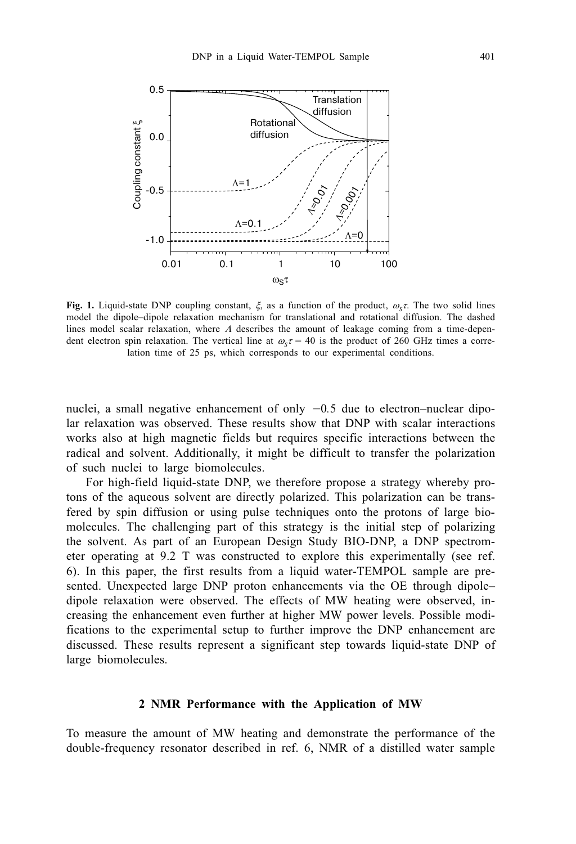

Fig. 1. Liquid-state DNP coupling constant,  $\xi$ , as a function of the product,  $\omega_{\gamma}\tau$ . The two solid lines model the dipole-dipole relaxation mechanism for translational and rotational diffusion. The dashed lines model scalar relaxation, where  $\Lambda$  describes the amount of leakage coming from a time-dependent electron spin relaxation. The vertical line at  $\omega_z \tau = 40$  is the product of 260 GHz times a correlation time of 25 ps, which corresponds to our experimental conditions.

nuclei, a small negative enhancement of only  $-0.5$  due to electron-nuclear dipolar relaxation was observed. These results show that DNP with scalar interactions works also at high magnetic fields but requires specific interactions between the radical and solvent. Additionally, it might be difficult to transfer the polarization of such nuclei to large biomolecules.

For high-field liquid-state DNP, we therefore propose a strategy whereby protons of the aqueous solvent are directly polarized. This polarization can be transfered by spin diffusion or using pulse techniques onto the protons of large biomolecules. The challenging part of this strategy is the initial step of polarizing the solvent. As part of an European Design Study BIO-DNP, a DNP spectrometer operating at 9.2 T was constructed to explore this experimentally (see ref. 6). In this paper, the first results from a liquid water-TEMPOL sample are presented. Unexpected large DNP proton enhancements via the OE through dipoledipole relaxation were observed. The effects of MW heating were observed, increasing the enhancement even further at higher MW power levels. Possible modifications to the experimental setup to further improve the DNP enhancement are discussed. These results represent a significant step towards liquid-state DNP of large biomolecules.

# 2 NMR Performance with the Application of MW

To measure the amount of MW heating and demonstrate the performance of the double-frequency resonator described in ref. 6, NMR of a distilled water sample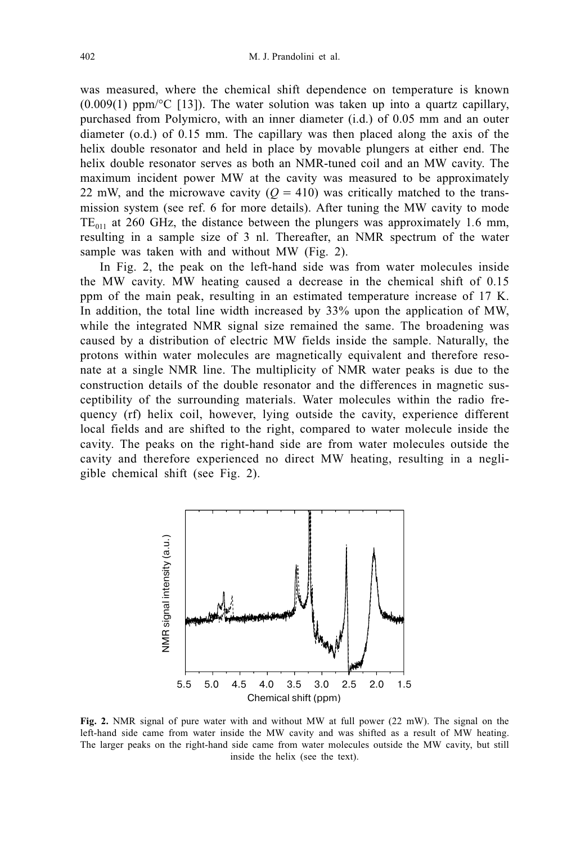was measured, where the chemical shift dependence on temperature is known  $(0.009(1)$  ppm/ $\textdegree$ C [13]). The water solution was taken up into a quartz capillary. purchased from Polymicro, with an inner diameter (i.d.) of 0.05 mm and an outer diameter  $(o.d.)$  of 0.15 mm. The capillary was then placed along the axis of the helix double resonator and held in place by movable plungers at either end. The helix double resonator serves as both an NMR-tuned coil and an MW cavity. The maximum incident power MW at the cavity was measured to be approximately 22 mW, and the microwave cavity ( $Q = 410$ ) was critically matched to the transmission system (see ref. 6 for more details). After tuning the MW cavity to mode  $TE_{011}$  at 260 GHz, the distance between the plungers was approximately 1.6 mm, resulting in a sample size of 3 nl. Thereafter, an NMR spectrum of the water sample was taken with and without MW (Fig. 2).

In Fig. 2, the peak on the left-hand side was from water molecules inside the MW cavity. MW heating caused a decrease in the chemical shift of 0.15 ppm of the main peak, resulting in an estimated temperature increase of 17 K. In addition, the total line width increased by 33% upon the application of MW, while the integrated NMR signal size remained the same. The broadening was caused by a distribution of electric MW fields inside the sample. Naturally, the protons within water molecules are magnetically equivalent and therefore resonate at a single NMR line. The multiplicity of NMR water peaks is due to the construction details of the double resonator and the differences in magnetic susceptibility of the surrounding materials. Water molecules within the radio frequency (rf) helix coil, however, lying outside the cavity, experience different local fields and are shifted to the right, compared to water molecule inside the cavity. The peaks on the right-hand side are from water molecules outside the cavity and therefore experienced no direct MW heating, resulting in a negligible chemical shift (see Fig. 2).



Fig. 2. NMR signal of pure water with and without MW at full power (22 mW). The signal on the left-hand side came from water inside the MW cavity and was shifted as a result of MW heating. The larger peaks on the right-hand side came from water molecules outside the MW cavity, but still inside the helix (see the text).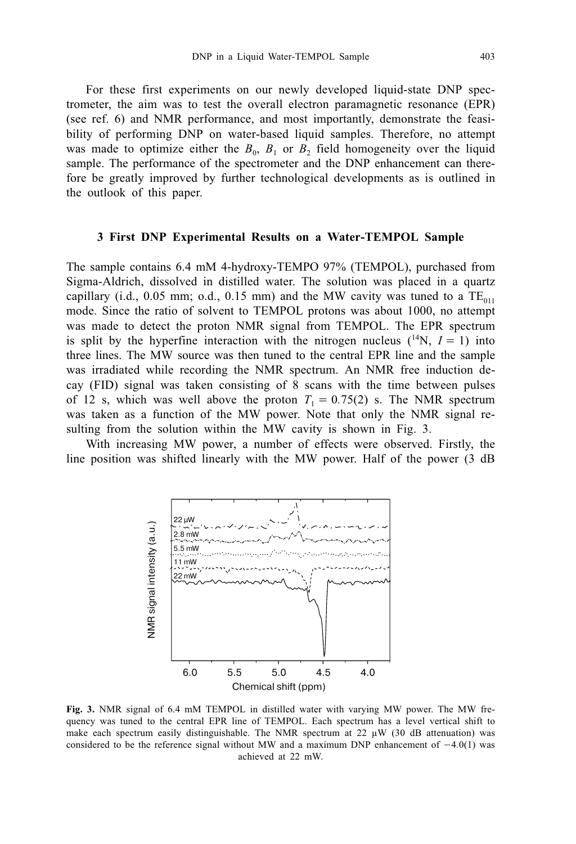For these first experiments on our newly developed liquid-state DNP spectrometer, the aim was to test the overall electron paramagnetic resonance (EPR) (see ref. 6) and NMR performance, and most importantly, demonstrate the feasibility of performing DNP on water-based liquid samples. Therefore, no attempt was made to optimize either the  $B_0$ ,  $B_1$  or  $B_2$  field homogeneity over the liquid sample. The performance of the spectrometer and the DNP enhancement can therefore be greatly improved by further technological developments as is outlined in the outlook of this paper.

### 3 First DNP Experimental Results on a Water-TEMPOL Sample

The sample contains 6.4 mM 4-hydroxy-TEMPO 97% (TEMPOL), purchased from Sigma-Aldrich, dissolved in distilled water. The solution was placed in a quartz capillary (i.d., 0.05 mm; o.d., 0.15 mm) and the MW cavity was tuned to a  $TE_{011}$ mode. Since the ratio of solvent to TEMPOL protons was about 1000, no attempt was made to detect the proton NMR signal from TEMPOL. The EPR spectrum is split by the hyperfine interaction with the nitrogen nucleus  $(^{14}N, I = 1)$  into three lines. The MW source was then tuned to the central EPR line and the sample was irradiated while recording the NMR spectrum. An NMR free induction decay (FID) signal was taken consisting of 8 scans with the time between pulses of 12 s, which was well above the proton  $T_1 = 0.75(2)$  s. The NMR spectrum was taken as a function of the MW power. Note that only the NMR signal resulting from the solution within the MW cavity is shown in Fig. 3.

With increasing MW power, a number of effects were observed. Firstly, the line position was shifted linearly with the MW power. Half of the power (3 dB)



Fig. 3. NMR signal of 6.4 mM TEMPOL in distilled water with varying MW power. The MW frequency was tuned to the central EPR line of TEMPOL. Each spectrum has a level vertical shift to make each spectrum easily distinguishable. The NMR spectrum at 22  $\mu$ W (30 dB attenuation) was considered to be the reference signal without MW and a maximum DNP enhancement of  $-4.0(1)$  was achieved at 22 mW.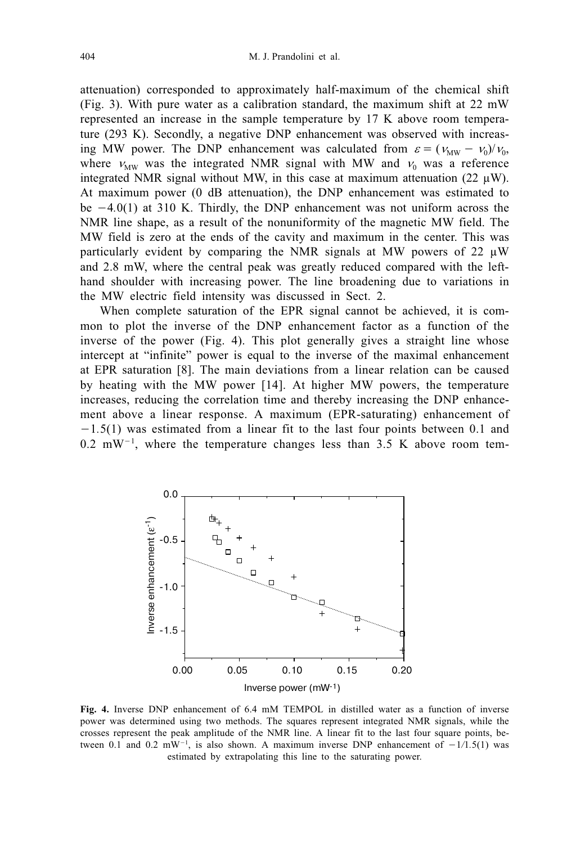attenuation) corresponded to approximately half-maximum of the chemical shift (Fig. 3). With pure water as a calibration standard, the maximum shift at 22 mW represented an increase in the sample temperature by 17 K above room temperature (293 K). Secondly, a negative DNP enhancement was observed with increasing MW power. The DNP enhancement was calculated from  $\varepsilon = (v_{\text{MW}} - v_0)/v_0$ , where  $v_{\text{MW}}$  was the integrated NMR signal with MW and  $v_0$  was a reference integrated NMR signal without MW, in this case at maximum attenuation (22  $\mu$ W). At maximum power (0 dB attenuation), the DNP enhancement was estimated to be  $-4.0(1)$  at 310 K. Thirdly, the DNP enhancement was not uniform across the NMR line shape, as a result of the nonuniformity of the magnetic MW field. The MW field is zero at the ends of the cavity and maximum in the center. This was particularly evident by comparing the NMR signals at MW powers of 22  $\mu$ W and 2.8 mW, where the central peak was greatly reduced compared with the lefthand shoulder with increasing power. The line broadening due to variations in the MW electric field intensity was discussed in Sect. 2.

When complete saturation of the EPR signal cannot be achieved, it is common to plot the inverse of the DNP enhancement factor as a function of the inverse of the power (Fig. 4). This plot generally gives a straight line whose intercept at "infinite" power is equal to the inverse of the maximal enhancement at EPR saturation [8]. The main deviations from a linear relation can be caused by heating with the MW power [14]. At higher MW powers, the temperature increases, reducing the correlation time and thereby increasing the DNP enhancement above a linear response. A maximum (EPR-saturating) enhancement of  $-1.5(1)$  was estimated from a linear fit to the last four points between 0.1 and  $0.2$  mW<sup>-1</sup>, where the temperature changes less than 3.5 K above room tem-



Fig. 4. Inverse DNP enhancement of 6.4 mM TEMPOL in distilled water as a function of inverse power was determined using two methods. The squares represent integrated NMR signals, while the crosses represent the peak amplitude of the NMR line. A linear fit to the last four square points, between 0.1 and 0.2 mW<sup>-1</sup>, is also shown. A maximum inverse DNP enhancement of  $-1/1.5(1)$  was estimated by extrapolating this line to the saturating power.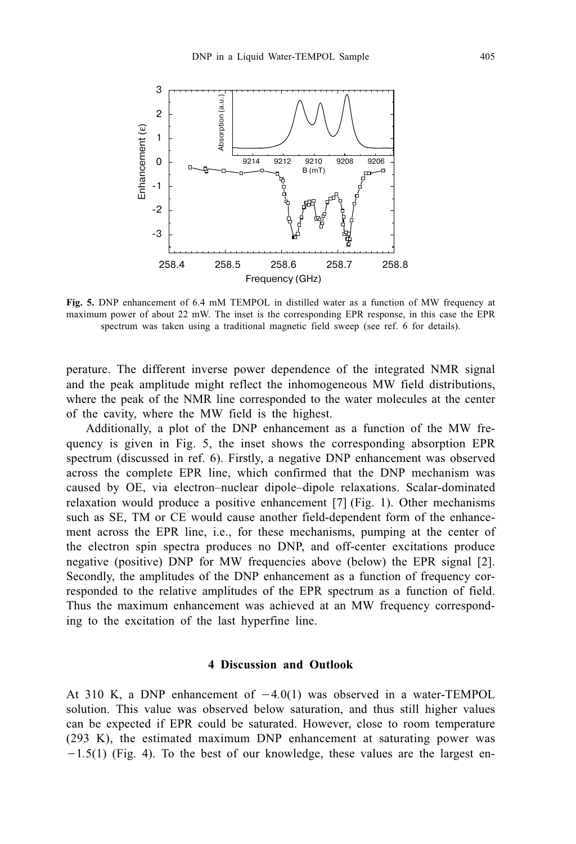

Fig. 5. DNP enhancement of 6.4 mM TEMPOL in distilled water as a function of MW frequency at maximum power of about 22 mW. The inset is the corresponding EPR response, in this case the EPR spectrum was taken using a traditional magnetic field sweep (see ref. 6 for details).

perature. The different inverse power dependence of the integrated NMR signal and the peak amplitude might reflect the inhomogeneous MW field distributions, where the peak of the NMR line corresponded to the water molecules at the center of the cavity, where the MW field is the highest.

Additionally, a plot of the DNP enhancement as a function of the MW frequency is given in Fig. 5, the inset shows the corresponding absorption EPR spectrum (discussed in ref. 6). Firstly, a negative DNP enhancement was observed across the complete EPR line, which confirmed that the DNP mechanism was caused by OE, via electron–nuclear dipole–dipole relaxations. Scalar-dominated relaxation would produce a positive enhancement [7] (Fig. 1). Other mechanisms such as SE, TM or CE would cause another field-dependent form of the enhancement across the EPR line, i.e., for these mechanisms, pumping at the center of the electron spin spectra produces no DNP, and off-center excitations produce negative (positive) DNP for MW frequencies above (below) the EPR signal [2]. Secondly, the amplitudes of the DNP enhancement as a function of frequency corresponded to the relative amplitudes of the EPR spectrum as a function of field. Thus the maximum enhancement was achieved at an MW frequency corresponding to the excitation of the last hyperfine line.

### **4 Discussion and Outlook**

At 310 K, a DNP enhancement of  $-4.0(1)$  was observed in a water-TEMPOL solution. This value was observed below saturation, and thus still higher values can be expected if EPR could be saturated. However, close to room temperature (293 K), the estimated maximum DNP enhancement at saturating power was  $-1.5(1)$  (Fig. 4). To the best of our knowledge, these values are the largest en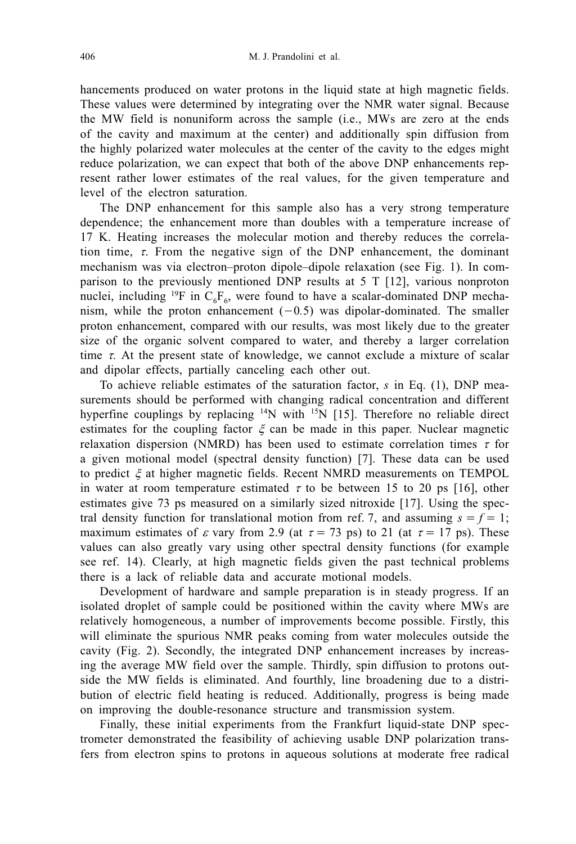hancements produced on water protons in the liquid state at high magnetic fields. These values were determined by integrating over the NMR water signal. Because the MW field is nonuniform across the sample (*i.e.*, MWs are zero at the ends of the cavity and maximum at the center) and additionally spin diffusion from the highly polarized water molecules at the center of the cavity to the edges might reduce polarization, we can expect that both of the above DNP enhancements represent rather lower estimates of the real values, for the given temperature and level of the electron saturation.

The DNP enhancement for this sample also has a very strong temperature dependence; the enhancement more than doubles with a temperature increase of 17 K. Heating increases the molecular motion and thereby reduces the correlation time,  $\tau$ . From the negative sign of the DNP enhancement, the dominant mechanism was via electron-proton dipole-dipole relaxation (see Fig. 1). In comparison to the previously mentioned DNP results at  $5 \text{ T}$  [12], various nonproton nuclei, including <sup>19</sup>F in  $C_6F_6$ , were found to have a scalar-dominated DNP mechanism, while the proton enhancement  $(-0.5)$  was dipolar-dominated. The smaller proton enhancement, compared with our results, was most likely due to the greater size of the organic solvent compared to water, and thereby a larger correlation time  $\tau$ . At the present state of knowledge, we cannot exclude a mixture of scalar and dipolar effects, partially canceling each other out.

To achieve reliable estimates of the saturation factor,  $s$  in Eq. (1), DNP measurements should be performed with changing radical concentration and different hyperfine couplings by replacing  $14N$  with  $15N$  [15]. Therefore no reliable direct estimates for the coupling factor  $\xi$  can be made in this paper. Nuclear magnetic relaxation dispersion (NMRD) has been used to estimate correlation times  $\tau$  for a given motional model (spectral density function) [7]. These data can be used to predict  $\xi$  at higher magnetic fields. Recent NMRD measurements on TEMPOL in water at room temperature estimated  $\tau$  to be between 15 to 20 ps [16], other estimates give 73 ps measured on a similarly sized nitroxide [17]. Using the spectral density function for translational motion from ref. 7, and assuming  $s = f = 1$ ; maximum estimates of  $\varepsilon$  vary from 2.9 (at  $\tau = 73$  ps) to 21 (at  $\tau = 17$  ps). These values can also greatly vary using other spectral density functions (for example see ref. 14). Clearly, at high magnetic fields given the past technical problems there is a lack of reliable data and accurate motional models.

Development of hardware and sample preparation is in steady progress. If an isolated droplet of sample could be positioned within the cavity where MWs are relatively homogeneous, a number of improvements become possible. Firstly, this will eliminate the spurious NMR peaks coming from water molecules outside the cavity (Fig. 2). Secondly, the integrated DNP enhancement increases by increasing the average MW field over the sample. Thirdly, spin diffusion to protons outside the MW fields is eliminated. And fourthly, line broadening due to a distribution of electric field heating is reduced. Additionally, progress is being made on improving the double-resonance structure and transmission system.

Finally, these initial experiments from the Frankfurt liquid-state DNP spectrometer demonstrated the feasibility of achieving usable DNP polarization transfers from electron spins to protons in aqueous solutions at moderate free radical